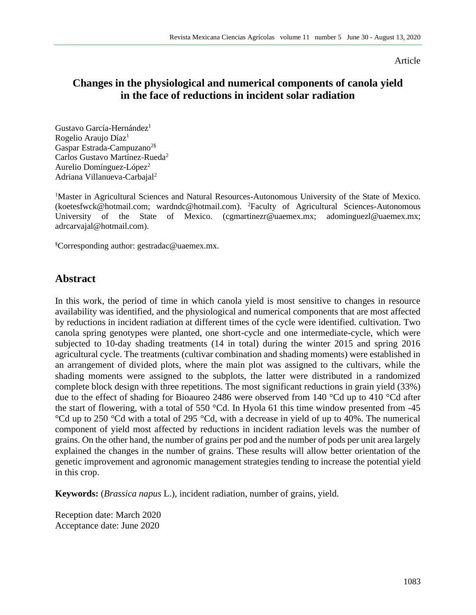#### Article

# **Changes in the physiological and numerical components of canola yield in the face of reductions in incident solar radiation**

Gustavo García-Hernández<sup>1</sup> Rogelio Araujo Díaz<sup>1</sup> Gaspar Estrada-Campuzano<sup>2§</sup> Carlos Gustavo Martínez-Rueda<sup>2</sup> Aurelio Domínguez-López<sup>2</sup> Adriana Villanueva-Carbajal<sup>2</sup>

<sup>1</sup>Master in Agricultural Sciences and Natural Resources-Autonomous University of the State of Mexico. [\(koetesfwck@hotmail.com;](mailto:koetesfwck@hotmail.com) [wardndc@hotmail.com\)](mailto:wardndc@hotmail.com). <sup>2</sup>Faculty of Agricultural Sciences-Autonomous University of the State of Mexico. [\(cgmartinezr@uaemex.mx;](mailto:cgmartinezr@uaemex.mx) [adominguezl@uaemex.mx;](mailto:adominguezl@uaemex.mx) adrcarvajal@hotmail.com).

§Corresponding author: [gestradac@uaemex.mx.](mailto:gestradac@uaemex.mx)

### **Abstract**

In this work, the period of time in which canola yield is most sensitive to changes in resource availability was identified, and the physiological and numerical components that are most affected by reductions in incident radiation at different times of the cycle were identified. cultivation. Two canola spring genotypes were planted, one short-cycle and one intermediate-cycle, which were subjected to 10-day shading treatments (14 in total) during the winter 2015 and spring 2016 agricultural cycle. The treatments (cultivar combination and shading moments) were established in an arrangement of divided plots, where the main plot was assigned to the cultivars, while the shading moments were assigned to the subplots, the latter were distributed in a randomized complete block design with three repetitions. The most significant reductions in grain yield (33%) due to the effect of shading for Bioaureo 2486 were observed from 140 °Cd up to 410 °Cd after the start of flowering, with a total of 550 °Cd. In Hyola 61 this time window presented from -45  $\rm{°Cd}$  up to 250  $\rm{°Cd}$  with a total of 295  $\rm{°Cd}$ , with a decrease in yield of up to 40%. The numerical component of yield most affected by reductions in incident radiation levels was the number of grains. On the other hand, the number of grains per pod and the number of pods per unit area largely explained the changes in the number of grains. These results will allow better orientation of the genetic improvement and agronomic management strategies tending to increase the potential yield in this crop.

**Keywords:** (*Brassica napus* L.), incident radiation, number of grains, yield.

Reception date: March 2020 Acceptance date: June 2020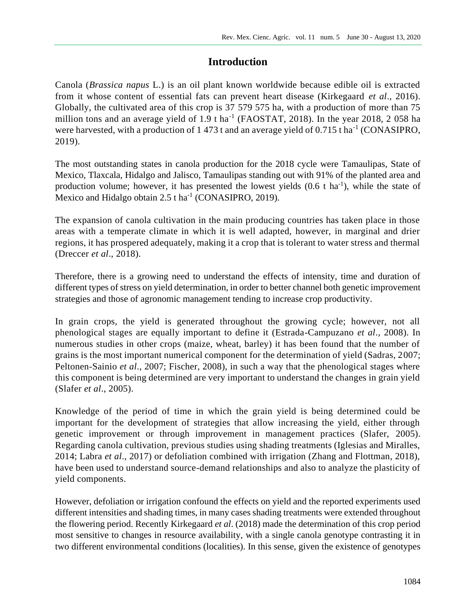# **Introduction**

Canola (*Brassica napus* L.) is an oil plant known worldwide because edible oil is extracted from it whose content of essential fats can prevent heart disease (Kirkegaard *et al*., 2016). Globally, the cultivated area of this crop is 37 579 575 ha, with a production of more than 75 million tons and an average yield of  $1.9$  t ha<sup>-1</sup> (FAOSTAT, 2018). In the year 2018, 2058 ha were harvested, with a production of  $1473$  t and an average yield of  $0.715$  t ha<sup>-1</sup> (CONASIPRO, 2019).

The most outstanding states in canola production for the 2018 cycle were Tamaulipas, State of Mexico, Tlaxcala, Hidalgo and Jalisco, Tamaulipas standing out with 91% of the planted area and production volume; however, it has presented the lowest yields  $(0.6 \text{ t} \text{ ha}^{-1})$ , while the state of Mexico and Hidalgo obtain 2.5 t ha<sup>-1</sup> (CONASIPRO, 2019).

The expansion of canola cultivation in the main producing countries has taken place in those areas with a temperate climate in which it is well adapted, however, in marginal and drier regions, it has prospered adequately, making it a crop that is tolerant to water stress and thermal (Dreccer *et al*., 2018).

Therefore, there is a growing need to understand the effects of intensity, time and duration of different types of stress on yield determination, in order to better channel both genetic improvement strategies and those of agronomic management tending to increase crop productivity.

In grain crops, the yield is generated throughout the growing cycle; however, not all phenological stages are equally important to define it (Estrada-Campuzano *et al*., 2008). In numerous studies in other crops (maize, wheat, barley) it has been found that the number of grains is the most important numerical component for the determination of yield (Sadras, 2007; Peltonen-Sainio *et al*., 2007; Fischer, 2008), in such a way that the phenological stages where this component is being determined are very important to understand the changes in grain yield (Slafer *et al*., 2005).

Knowledge of the period of time in which the grain yield is being determined could be important for the development of strategies that allow increasing the yield, either through genetic improvement or through improvement in management practices (Slafer, 2005). Regarding canola cultivation, previous studies using shading treatments (Iglesias and Miralles, 2014; Labra *et al*., 2017) or defoliation combined with irrigation (Zhang and Flottman, 2018), have been used to understand source-demand relationships and also to analyze the plasticity of yield components.

However, defoliation or irrigation confound the effects on yield and the reported experiments used different intensities and shading times, in many cases shading treatments were extended throughout the flowering period. Recently Kirkegaard *et al*. (2018) made the determination of this crop period most sensitive to changes in resource availability, with a single canola genotype contrasting it in two different environmental conditions (localities). In this sense, given the existence of genotypes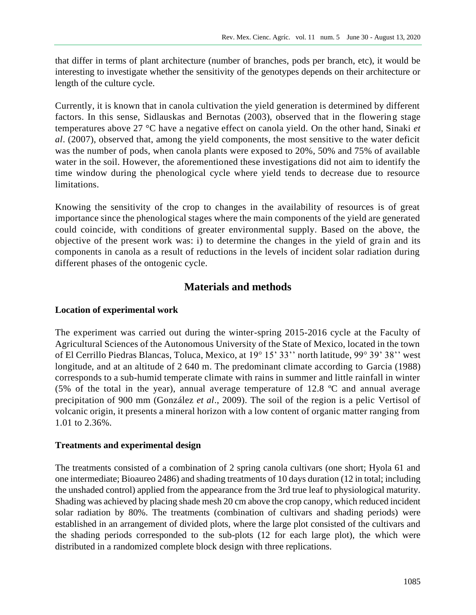that differ in terms of plant architecture (number of branches, pods per branch, etc), it would be interesting to investigate whether the sensitivity of the genotypes depends on their architecture or length of the culture cycle.

Currently, it is known that in canola cultivation the yield generation is determined by different factors. In this sense, Sidlauskas and Bernotas (2003), observed that in the flowering stage temperatures above 27 °C have a negative effect on canola yield. On the other hand, Sinaki *et al*. (2007), observed that, among the yield components, the most sensitive to the water deficit was the number of pods, when canola plants were exposed to 20%, 50% and 75% of available water in the soil. However, the aforementioned these investigations did not aim to identify the time window during the phenological cycle where yield tends to decrease due to resource limitations.

Knowing the sensitivity of the crop to changes in the availability of resources is of great importance since the phenological stages where the main components of the yield are generated could coincide, with conditions of greater environmental supply. Based on the above, the objective of the present work was: i) to determine the changes in the yield of grain and its components in canola as a result of reductions in the levels of incident solar radiation during different phases of the ontogenic cycle.

# **Materials and methods**

### **Location of experimental work**

The experiment was carried out during the winter-spring 2015-2016 cycle at the Faculty of Agricultural Sciences of the Autonomous University of the State of Mexico, located in the town of El Cerrillo Piedras Blancas, Toluca, Mexico, at 19° 15' 33'' north latitude, 99° 39' 38'' west longitude, and at an altitude of 2 640 m. The predominant climate according to Garcia (1988) corresponds to a sub-humid temperate climate with rains in summer and little rainfall in winter (5% of the total in the year), annual average temperature of 12.8 ºC and annual average precipitation of 900 mm (González *et al*., 2009). The soil of the region is a pelic Vertisol of volcanic origin, it presents a mineral horizon with a low content of organic matter ranging from 1.01 to 2.36%.

### **Treatments and experimental design**

The treatments consisted of a combination of 2 spring canola cultivars (one short; Hyola 61 and one intermediate; Bioaureo 2486) and shading treatments of 10 days duration (12 in total; including the unshaded control) applied from the appearance from the 3rd true leaf to physiological maturity. Shading was achieved by placing shade mesh 20 cm above the crop canopy, which reduced incident solar radiation by 80%. The treatments (combination of cultivars and shading periods) were established in an arrangement of divided plots, where the large plot consisted of the cultivars and the shading periods corresponded to the sub-plots (12 for each large plot), the which were distributed in a randomized complete block design with three replications.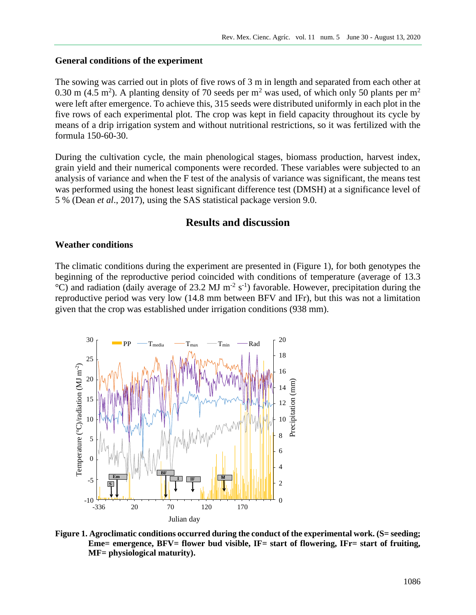### **General conditions of the experiment**

The sowing was carried out in plots of five rows of 3 m in length and separated from each other at 0.30 m (4.5 m<sup>2</sup>). A planting density of 70 seeds per m<sup>2</sup> was used, of which only 50 plants per m<sup>2</sup> were left after emergence. To achieve this, 315 seeds were distributed uniformly in each plot in the five rows of each experimental plot. The crop was kept in field capacity throughout its cycle by means of a drip irrigation system and without nutritional restrictions, so it was fertilized with the formula 150-60-30.

During the cultivation cycle, the main phenological stages, biomass production, harvest index, grain yield and their numerical components were recorded. These variables were subjected to an analysis of variance and when the F test of the analysis of variance was significant, the means test was performed using the honest least significant difference test (DMSH) at a significance level of 5 % (Dean *et al*., 2017), using the SAS statistical package version 9.0.

## **Results and discussion**

#### **Weather conditions**

The climatic conditions during the experiment are presented in (Figure 1), for both genotypes the beginning of the reproductive period coincided with conditions of temperature (average of 13.3  $^{\circ}$ C) and radiation (daily average of 23.2 MJ m<sup>-2</sup> s<sup>-1</sup>) favorable. However, precipitation during the reproductive period was very low (14.8 mm between BFV and IFr), but this was not a limitation given that the crop was established under irrigation conditions (938 mm).



Figure 1. Agroclimatic conditions occurred during the conduct of the experimental work. (S= seeding; **Eme= emergence, BFV= flower bud visible, IF= start of flowering, IFr= start of fruiting, MF= physiological maturity).**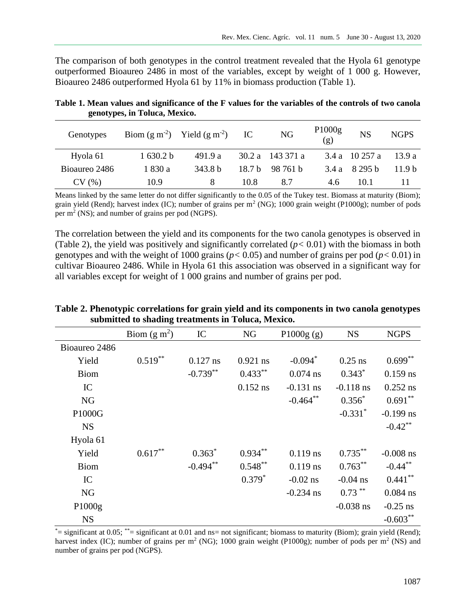The comparison of both genotypes in the control treatment revealed that the Hyola 61 genotype outperformed Bioaureo 2486 in most of the variables, except by weight of 1 000 g. However, Bioaureo 2486 outperformed Hyola 61 by 11% in biomass production (Table 1).

| Genotypes     |          | Biom $(g m-2)$ Yield $(g m-2)$ IC |        | <b>NG</b>          | P1000g<br>(g) | <b>NS</b>      | <b>NGPS</b>       |
|---------------|----------|-----------------------------------|--------|--------------------|---------------|----------------|-------------------|
| Hyola 61      | 1630.2 b | 491.9 a                           |        | $30.2 a$ 143 371 a |               | 3.4 a 10 257 a | 13.9 a            |
| Bioaureo 2486 | 1 830 a  | 343.8 b                           | 18.7 b | 98 761 h           |               | $3.4a$ 8 295 b | 11.9 <sub>b</sub> |
| CV(%)         | 10.9     | 8                                 | 10.8   | 8.7                | 4.6           | 10.1           |                   |

**Table 1. Mean values and significance of the F values for the variables of the controls of two canola genotypes, in Toluca, Mexico.**

Means linked by the same letter do not differ significantly to the 0.05 of the Tukey test. Biomass at maturity (Biom); grain yield (Rend); harvest index (IC); number of grains per  $m^2$  (NG); 1000 grain weight (P1000g); number of pods per  $m<sup>2</sup>$  (NS); and number of grains per pod (NGPS).

The correlation between the yield and its components for the two canola genotypes is observed in (Table 2), the yield was positively and significantly correlated  $(p< 0.01)$  with the biomass in both genotypes and with the weight of 1000 grains ( $p < 0.05$ ) and number of grains per pod ( $p < 0.01$ ) in cultivar Bioaureo 2486. While in Hyola 61 this association was observed in a significant way for all variables except for weight of 1 000 grains and number of grains per pod.

|               | Biom $(g m2)$ | IC          | <b>NG</b>  | P1000g(g)   | <b>NS</b>             | <b>NGPS</b> |
|---------------|---------------|-------------|------------|-------------|-----------------------|-------------|
| Bioaureo 2486 |               |             |            |             |                       |             |
| Yield         | $0.519***$    | $0.127$ ns  | $0.921$ ns | $-0.094*$   | $0.25$ ns             | $0.699**$   |
| <b>Biom</b>   |               | $-0.739**$  | $0.433**$  | $0.074$ ns  | $0.343*$              | $0.159$ ns  |
| IC            |               |             | $0.152$ ns | $-0.131$ ns | $-0.118$ ns           | $0.252$ ns  |
| <b>NG</b>     |               |             |            | $-0.464***$ | $0.356*$              | $0.691**$   |
| P1000G        |               |             |            |             | $-0.331$ <sup>*</sup> | $-0.199$ ns |
| <b>NS</b>     |               |             |            |             |                       | $-0.42$ **  |
| Hyola 61      |               |             |            |             |                       |             |
| Yield         | $0.617***$    | $0.363*$    | $0.934**$  | $0.119$ ns  | $0.735***$            | $-0.008$ ns |
| <b>Biom</b>   |               | $-0.494***$ | $0.548**$  | $0.119$ ns  | $0.763***$            | $-0.44***$  |
| IC            |               |             | $0.379*$   | $-0.02$ ns  | $-0.04$ ns            | $0.441***$  |
| NG            |               |             |            | $-0.234$ ns | $0.73***$             | $0.084$ ns  |
| P1000g        |               |             |            |             | $-0.038$ ns           | $-0.25$ ns  |
| <b>NS</b>     |               |             |            |             |                       | $-0.603**$  |

**Table 2. Phenotypic correlations for grain yield and its components in two canola genotypes submitted to shading treatments in Toluca, Mexico.**

 $*$ = significant at 0.05;  $*$ = significant at 0.01 and ns= not significant; biomass to maturity (Biom); grain yield (Rend); harvest index (IC); number of grains per  $m^2$  (NG); 1000 grain weight (P1000g); number of pods per  $m^2$  (NS) and number of grains per pod (NGPS).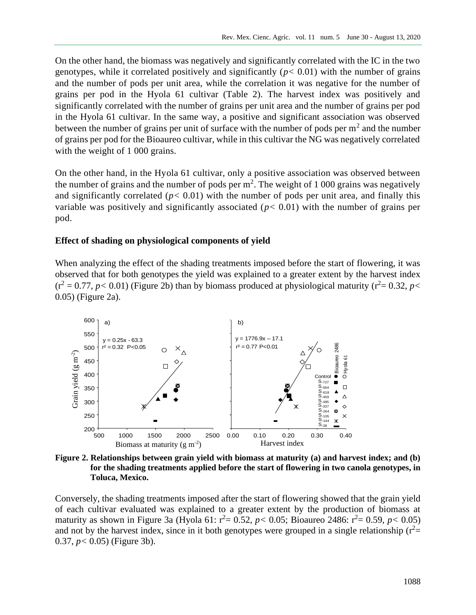On the other hand, the biomass was negatively and significantly correlated with the IC in the two genotypes, while it correlated positively and significantly  $(p < 0.01)$  with the number of grains and the number of pods per unit area, while the correlation it was negative for the number of grains per pod in the Hyola 61 cultivar (Table 2). The harvest index was positively and significantly correlated with the number of grains per unit area and the number of grains per pod in the Hyola 61 cultivar. In the same way, a positive and significant association was observed between the number of grains per unit of surface with the number of pods per  $m<sup>2</sup>$  and the number of grains per pod for the Bioaureo cultivar, while in this cultivar the NG was negatively correlated with the weight of 1 000 grains.

On the other hand, in the Hyola 61 cultivar, only a positive association was observed between the number of grains and the number of pods per  $m^2$ . The weight of 1 000 grains was negatively and significantly correlated ( $p < 0.01$ ) with the number of pods per unit area, and finally this variable was positively and significantly associated  $(p < 0.01)$  with the number of grains per pod.

### **Effect of shading on physiological components of yield**

When analyzing the effect of the shading treatments imposed before the start of flowering, it was observed that for both genotypes the yield was explained to a greater extent by the harvest index  $(r^2 = 0.77, p < 0.01)$  (Figure 2b) than by biomass produced at physiological maturity ( $r^2 = 0.32, p <$ 0.05) (Figure 2a).



**Figure 2. Relationships between grain yield with biomass at maturity (a) and harvest index; and (b) for the shading treatments applied before the start of flowering in two canola genotypes, in Toluca, Mexico.**

Conversely, the shading treatments imposed after the start of flowering showed that the grain yield of each cultivar evaluated was explained to a greater extent by the production of biomass at maturity as shown in Figure 3a (Hyola 61:  $r^2 = 0.52$ ,  $p < 0.05$ ; Bioaureo 2486:  $r^2 = 0.59$ ,  $p < 0.05$ ) and not by the harvest index, since in it both genotypes were grouped in a single relationship  $(r^2=$ 0.37, *p<* 0.05) (Figure 3b).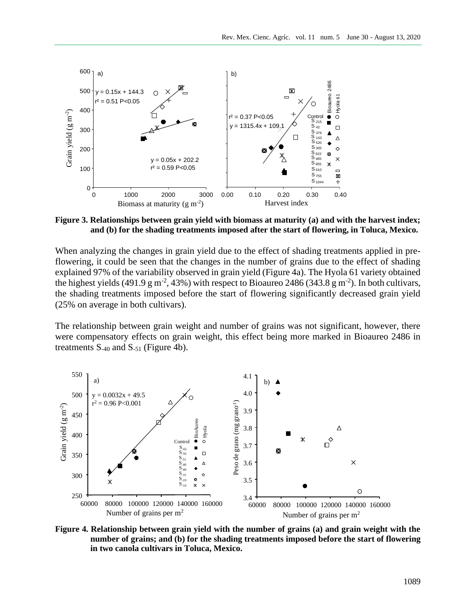

**Figure 3. Relationships between grain yield with biomass at maturity (a) and with the harvest index; and (b) for the shading treatments imposed after the start of flowering, in Toluca, Mexico.**

When analyzing the changes in grain yield due to the effect of shading treatments applied in preflowering, it could be seen that the changes in the number of grains due to the effect of shading explained 97% of the variability observed in grain yield (Figure 4a). The Hyola 61 variety obtained the highest yields (491.9 g m<sup>-2</sup>, 43%) with respect to Bioaureo 2486 (343.8 g m<sup>-2</sup>). In both cultivars, the shading treatments imposed before the start of flowering significantly decreased grain yield (25% on average in both cultivars).

The relationship between grain weight and number of grains was not significant, however, there were compensatory effects on grain weight, this effect being more marked in Bioaureo 2486 in treatments  $S_{-40}$  and  $S_{-51}$  (Figure 4b).



**Figure 4. Relationship between grain yield with the number of grains (a) and grain weight with the number of grains; and (b) for the shading treatments imposed before the start of flowering in two canola cultivars in Toluca, Mexico.**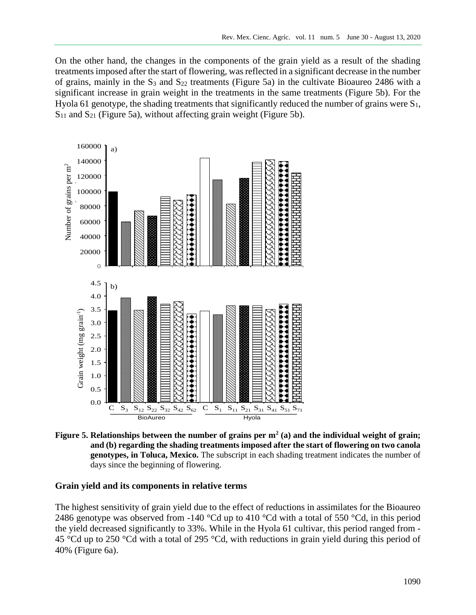On the other hand, the changes in the components of the grain yield as a result of the shading treatments imposed after the start of flowering, was reflected in a significant decrease in the number of grains, mainly in the  $S_3$  and  $S_{22}$  treatments (Figure 5a) in the cultivate Bioaureo 2486 with a significant increase in grain weight in the treatments in the same treatments (Figure 5b). For the Hyola 61 genotype, the shading treatments that significantly reduced the number of grains were  $S_1$ , S<sub>11</sub> and S<sub>21</sub> (Figure 5a), without affecting grain weight (Figure 5b).



**Figure 5. Relationships between the number of grains per m<sup>2</sup> (a) and the individual weight of grain; and (b) regarding the shading treatments imposed after the start of flowering on two canola genotypes, in Toluca, Mexico.** The subscript in each shading treatment indicates the number of days since the beginning of flowering.

### **Grain yield and its components in relative terms**

The highest sensitivity of grain yield due to the effect of reductions in assimilates for the Bioaureo 2486 genotype was observed from -140  $^{\circ}$ Cd up to 410  $^{\circ}$ Cd with a total of 550  $^{\circ}$ Cd, in this period the yield decreased significantly to 33%. While in the Hyola 61 cultivar, this period ranged from - 45 °Cd up to 250 °Cd with a total of 295 °Cd, with reductions in grain yield during this period of 40% (Figure 6a).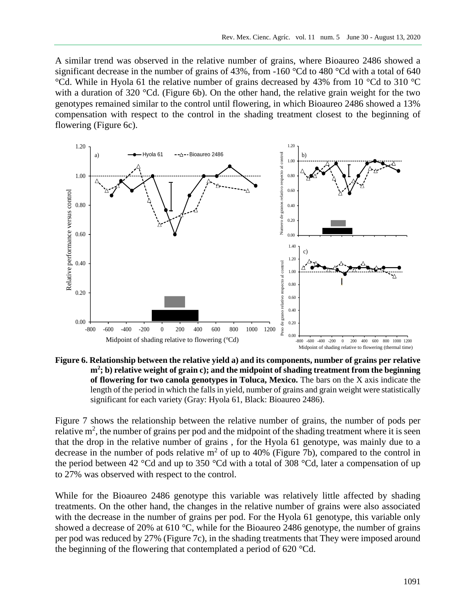A similar trend was observed in the relative number of grains, where Bioaureo 2486 showed a significant decrease in the number of grains of 43%, from -160  $^{\circ}$ Cd to 480  $^{\circ}$ Cd with a total of 640 °Cd. While in Hyola 61 the relative number of grains decreased by 43% from 10 °Cd to 310 °C with a duration of 320 °Cd. (Figure 6b). On the other hand, the relative grain weight for the two genotypes remained similar to the control until flowering, in which Bioaureo 2486 showed a 13% compensation with respect to the control in the shading treatment closest to the beginning of flowering (Figure 6c).



**Figure 6. Relationship between the relative yield a) and its components, number of grains per relative m<sup>2</sup> ; b) relative weight of grain c); and the midpoint of shading treatment from the beginning of flowering for two canola genotypes in Toluca, Mexico.** The bars on the X axis indicate the length of the period in which the falls in yield, number of grains and grain weight were statistically significant for each variety (Gray: Hyola 61, Black: Bioaureo 2486).

Figure 7 shows the relationship between the relative number of grains, the number of pods per relative  $m^2$ , the number of grains per pod and the midpoint of the shading treatment where it is seen that the drop in the relative number of grains , for the Hyola 61 genotype, was mainly due to a decrease in the number of pods relative  $m<sup>2</sup>$  of up to 40% (Figure 7b), compared to the control in the period between 42 °Cd and up to 350 °Cd with a total of 308 °Cd, later a compensation of up to 27% was observed with respect to the control.

While for the Bioaureo 2486 genotype this variable was relatively little affected by shading treatments. On the other hand, the changes in the relative number of grains were also associated with the decrease in the number of grains per pod. For the Hyola 61 genotype, this variable only showed a decrease of 20% at 610 °C, while for the Bioaureo 2486 genotype, the number of grains per pod was reduced by 27% (Figure 7c), in the shading treatments that They were imposed around the beginning of the flowering that contemplated a period of 620 °Cd.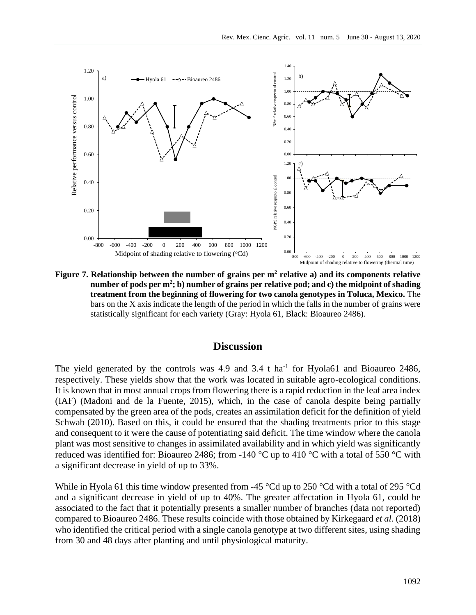

**Figure 7. Relationship between the number of grains per m<sup>2</sup> relative a) and its components relative number of pods per m<sup>2</sup> ; b) number of grains per relative pod; and c) the midpoint of shading treatment from the beginning of flowering for two canola genotypes in Toluca, Mexico.** The bars on the X axis indicate the length of the period in which the falls in the number of grains were statistically significant for each variety (Gray: Hyola 61, Black: Bioaureo 2486).

## **Discussion**

The yield generated by the controls was 4.9 and 3.4 t ha<sup>-1</sup> for Hyola61 and Bioaureo 2486, respectively. These yields show that the work was located in suitable agro-ecological conditions. It is known that in most annual crops from flowering there is a rapid reduction in the leaf area index (IAF) (Madoni and de la Fuente, 2015), which, in the case of canola despite being partially compensated by the green area of the pods, creates an assimilation deficit for the definition of yield Schwab (2010). Based on this, it could be ensured that the shading treatments prior to this stage and consequent to it were the cause of potentiating said deficit. The time window where the canola plant was most sensitive to changes in assimilated availability and in which yield was significantly reduced was identified for: Bioaureo 2486; from -140 °C up to 410 °C with a total of 550 °C with a significant decrease in yield of up to 33%.

While in Hyola 61 this time window presented from -45 °Cd up to 250 °Cd with a total of 295 °Cd and a significant decrease in yield of up to 40%. The greater affectation in Hyola 61, could be associated to the fact that it potentially presents a smaller number of branches (data not reported) compared to Bioaureo 2486. These results coincide with those obtained by Kirkegaard *et al*. (2018) who identified the critical period with a single canola genotype at two different sites, using shading from 30 and 48 days after planting and until physiological maturity.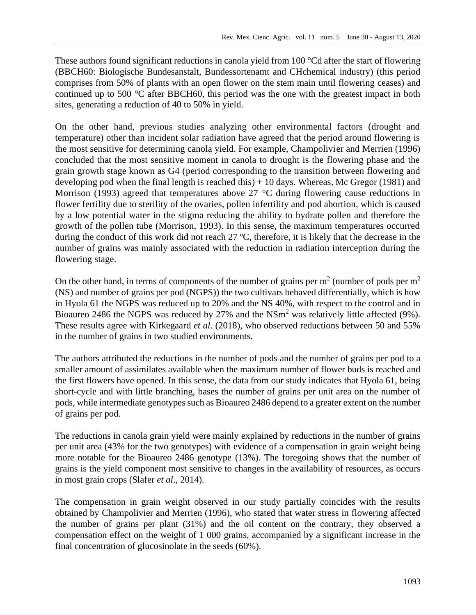These authors found significant reductions in canola yield from 100 °Cd after the start of flowering (BBCH60: Biologische Bundesanstalt, Bundessortenamt and CHchemical industry) (this period comprises from 50% of plants with an open flower on the stem main until flowering ceases) and continued up to 500 °C after BBCH60, this period was the one with the greatest impact in both sites, generating a reduction of 40 to 50% in yield.

On the other hand, previous studies analyzing other environmental factors (drought and temperature) other than incident solar radiation have agreed that the period around flowering is the most sensitive for determining canola yield. For example, Champolivier and Merrien (1996) concluded that the most sensitive moment in canola to drought is the flowering phase and the grain growth stage known as G4 (period corresponding to the transition between flowering and developing pod when the final length is reached this)  $+10$  days. Whereas, Mc Gregor (1981) and Morrison (1993) agreed that temperatures above 27 °C during flowering cause reductions in flower fertility due to sterility of the ovaries, pollen infertility and pod abortion, which is caused by a low potential water in the stigma reducing the ability to hydrate pollen and therefore the growth of the pollen tube (Morrison, 1993). In this sense, the maximum temperatures occurred during the conduct of this work did not reach 27 ºC, therefore, it is likely that the decrease in the number of grains was mainly associated with the reduction in radiation interception during the flowering stage.

On the other hand, in terms of components of the number of grains per  $m<sup>2</sup>$  (number of pods per  $m<sup>2</sup>$ (NS) and number of grains per pod (NGPS)) the two cultivars behaved differentially, which is how in Hyola 61 the NGPS was reduced up to 20% and the NS 40%, with respect to the control and in Bioaureo 2486 the NGPS was reduced by 27% and the NSm<sup>2</sup> was relatively little affected (9%). These results agree with Kirkegaard *et al*. (2018), who observed reductions between 50 and 55% in the number of grains in two studied environments.

The authors attributed the reductions in the number of pods and the number of grains per pod to a smaller amount of assimilates available when the maximum number of flower buds is reached and the first flowers have opened. In this sense, the data from our study indicates that Hyola 61, being short-cycle and with little branching, bases the number of grains per unit area on the number of pods, while intermediate genotypes such as Bioaureo 2486 depend to a greater extent on the number of grains per pod.

The reductions in canola grain yield were mainly explained by reductions in the number of grains per unit area (43% for the two genotypes) with evidence of a compensation in grain weight being more notable for the Bioaureo 2486 genotype (13%). The foregoing shows that the number of grains is the yield component most sensitive to changes in the availability of resources, as occurs in most grain crops (Slafer *et al*., 2014).

The compensation in grain weight observed in our study partially coincides with the results obtained by Champolivier and Merrien (1996), who stated that water stress in flowering affected the number of grains per plant (31%) and the oil content on the contrary, they observed a compensation effect on the weight of 1 000 grains, accompanied by a significant increase in the final concentration of glucosinolate in the seeds (60%).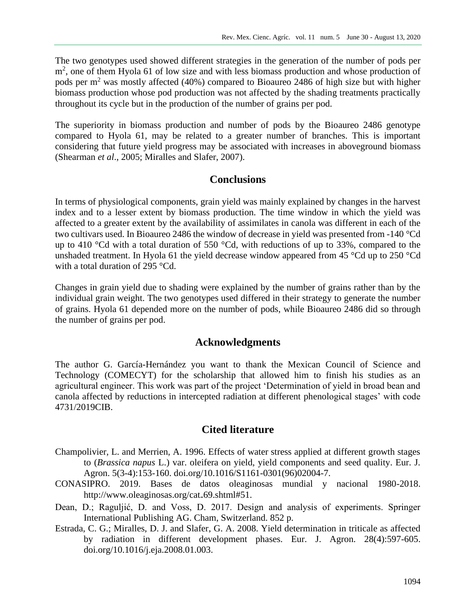The two genotypes used showed different strategies in the generation of the number of pods per m<sup>2</sup>, one of them Hyola 61 of low size and with less biomass production and whose production of pods per  $m<sup>2</sup>$  was mostly affected (40%) compared to Bioaureo 2486 of high size but with higher biomass production whose pod production was not affected by the shading treatments practically throughout its cycle but in the production of the number of grains per pod.

The superiority in biomass production and number of pods by the Bioaureo 2486 genotype compared to Hyola 61, may be related to a greater number of branches. This is important considering that future yield progress may be associated with increases in aboveground biomass (Shearman *et al*., 2005; Miralles and Slafer, 2007).

# **Conclusions**

In terms of physiological components, grain yield was mainly explained by changes in the harvest index and to a lesser extent by biomass production. The time window in which the yield was affected to a greater extent by the availability of assimilates in canola was different in each of the two cultivars used. In Bioaureo 2486 the window of decrease in yield was presented from -140 °Cd up to 410 °Cd with a total duration of 550 °Cd, with reductions of up to 33%, compared to the unshaded treatment. In Hyola 61 the yield decrease window appeared from 45 °Cd up to 250 °Cd with a total duration of 295 °Cd.

Changes in grain yield due to shading were explained by the number of grains rather than by the individual grain weight. The two genotypes used differed in their strategy to generate the number of grains. Hyola 61 depended more on the number of pods, while Bioaureo 2486 did so through the number of grains per pod.

### **Acknowledgments**

The author G. García-Hernández you want to thank the Mexican Council of Science and Technology (COMECYT) for the scholarship that allowed him to finish his studies as an agricultural engineer. This work was part of the project 'Determination of yield in broad bean and canola affected by reductions in intercepted radiation at different phenological stages' with code 4731/2019CIB.

## **Cited literature**

- Champolivier, L. and Merrien, A. 1996. Effects of water stress applied at different growth stages to (*Brassica napus* L.) var. oleifera on yield, yield components and seed quality. Eur. J. Agron. 5(3-4):153-160. doi.org/10.1016/S1161-0301(96)02004-7.
- CONASIPRO. 2019. Bases de datos oleaginosas mundial y nacional 1980-2018. [http://www.oleaginosas.org/cat-69.shtml#51.](http://www.oleaginosas.org/cat-69.shtml#51)
- Dean, D.; Raguljić, D. and Voss, D. 2017. Design and analysis of experiments. Springer International Publishing AG. Cham, Switzerland. 852 p.
- Estrada, C. G.; Miralles, D. J. and Slafer, G. A. 2008. Yield determination in triticale as affected by radiation in different development phases. Eur. J. Agron. 28(4):597-605. doi.org/10.1016/j.eja.2008.01.003.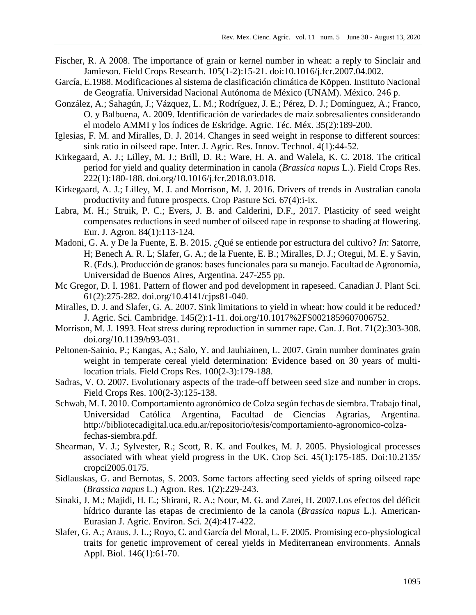- Fischer, R. A 2008. The importance of grain or kernel number in wheat: a reply to Sinclair and Jamieson. Field Crops Research. 105(1-2):15-21. doi:10.1016/j.fcr.2007.04.002.
- García, E.1988. Modificaciones al sistema de clasificación climática de Köppen. Instituto Nacional de Geografía. Universidad Nacional Autónoma de México (UNAM). México. 246 p.
- González, A.; Sahagún, J.; Vázquez, L. M.; Rodríguez, J. E.; Pérez, D. J.; Domínguez, A.; Franco, O. y Balbuena, A. 2009. Identificación de variedades de maíz sobresalientes considerando el modelo AMMI y los índices de Eskridge. Agric. Téc. Méx. 35(2):189-200.
- Iglesias, F. M. and Miralles, D. J. 2014. Changes in seed weight in response to different sources: sink ratio in oilseed rape. Inter. J. Agric. Res. Innov. Technol. 4(1):44-52.
- Kirkegaard, A. J.; Lilley, M. J.; Brill, D. R.; Ware, H. A. and Walela, K. C. 2018. The critical period for yield and quality determination in canola (*Brassica napus* L.). Field Crops Res. 222(1):180-188. doi.org/10.1016/j.fcr.2018.03.018.
- Kirkegaard, A. J.; Lilley, M. J. and Morrison, M. J. 2016. Drivers of trends in Australian canola productivity and future prospects. Crop Pasture Sci. 67(4):i-ix.
- Labra, M. H.; Struik, P. C.; Evers, J. B. and Calderini, D.F., 2017. Plasticity of seed weight compensates reductions in seed number of oilseed rape in response to shading at flowering. Eur. J. Agron. 84(1):113-124.
- Madoni, G. A. y De la Fuente, E. B. 2015. ¿Qué se entiende por estructura del cultivo? *In*: Satorre, H; Benech A. R. L; Slafer, G. A.; de la Fuente, E. B.; Miralles, D. J.; Otegui, M. E. y Savin, R. (Eds.). Producción de granos: bases funcionales para su manejo. Facultad de Agronomía, Universidad de Buenos Aires, Argentina. 247-255 pp.
- Mc Gregor, D. I. 1981. Pattern of flower and pod development in rapeseed. Canadian J. Plant Sci. 61(2):275-282. doi.org/10.4141/cjps81-040.
- Miralles, D. J. and Slafer, G. A. 2007. Sink limitations to yield in wheat: how could it be reduced? J. Agric. Sci. Cambridge. 145(2):1-11. doi.org/10.1017%2FS0021859607006752.
- Morrison, M. J. 1993. Heat stress during reproduction in summer rape. Can. J. Bot. 71(2):303-308. doi.org/10.1139/b93-031.
- Peltonen-Sainio, P.; Kangas, A.; Salo, Y. and Jauhiainen, L. 2007. Grain number dominates grain weight in temperate cereal yield determination: Evidence based on 30 years of multilocation trials. Field Crops Res. 100(2-3):179-188.
- Sadras, V. O. 2007. Evolutionary aspects of the trade-off between seed size and number in crops. Field Crops Res. 100(2-3):125-138.
- Schwab, M. I. 2010. Comportamiento agronómico de Colza según fechas de siembra. Trabajo final, Universidad Católica Argentina, Facultad de Ciencias Agrarias, Argentina. http://bibliotecadigital.uca.edu.ar/repositorio/tesis/comportamiento-agronomico-colzafechas-siembra.pdf.
- Shearman, V. J.; Sylvester, R.; Scott, R. K. and Foulkes, M. J. 2005. Physiological processes associated with wheat yield progress in the UK. Crop Sci. 45(1):175-185. Doi:10.2135/ cropci2005.0175.
- Sidlauskas, G. and Bernotas, S. 2003. Some factors affecting seed yields of spring oilseed rape (*Brassica napus* L.) Agron. Res. 1(2):229-243.
- Sinaki, J. M.; Majidi, H. E.; Shirani, R. A.; Nour, M. G. and Zarei, H. 2007.Los efectos del déficit hídrico durante las etapas de crecimiento de la canola (*Brassica napus* L.). American-Eurasian J. Agric. Environ. Sci. 2(4):417-422.
- Slafer, G. A.; Araus, J. L.; Royo, C. and García del Moral, L. F. 2005. Promising eco-physiological traits for genetic improvement of cereal yields in Mediterranean environments. Annals Appl. Biol. 146(1):61-70.